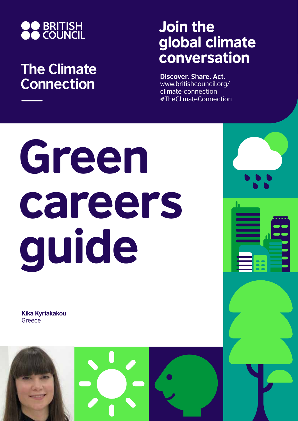

## **The Climate Connection**

## Join the global climate conversation

**Discover. Share. Act.** www.britishcouncil.org/ climate-connection #TheClimateConnection

# Green careers guide

**Kika Kyriakakou Greece** 

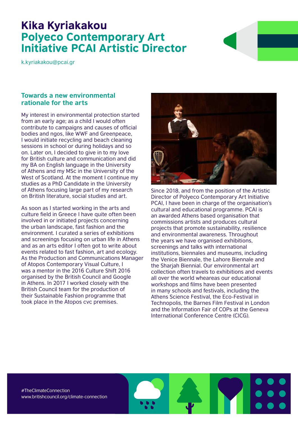### Kika Kyriakakou Polyeco Contemporary Art Initiative PCAI Artistic Director

k.kyriakakou@pcai.gr

#### **Towards a new environmental rationale for the arts**

My interest in environmental protection started from an early age; as a child I would often contribute to campaigns and causes of official bodies and ngos, like WWF and Greenpeace, I would initiate recycling and beach cleaning sessions in school or during holidays and so on. Later on, I decided to give in to my love for British culture and communication and did my BA on English language in the University of Athens and my MSc in the University of the West of Scotland. At the moment I continue my studies as a PhD Candidate in the University of Athens focusing large part of my research on British literature, social studies and art.

As soon as I started working in the arts and culture field in Greece I have quite often been involved in or initiated projects concerning the urban landscape, fast fashion and the environment. I curated a series of exhibitions and screenings focusing on urban life in Athens and as an arts editor I often got to write about events related to fast fashion, art and ecology. As the Production and Communications Manager of Atopos Contemporary Visual Culture, I was a mentor in the 2016 Culture Shift 2016 organised by the British Council and Google in Athens. In 2017 I worked closely with the British Council team for the production of their Sustainable Fashion programme that took place in the Atopos cvc premises.



Since 2018, and from the position of the Artistic Director of Polyeco Contemporary Art Initiative PCAI, I have been in charge of the organisation's cultural and educational programme. PCAI is an awarded Athens based organisation that commissions artists and produces cultural projects that promote sustainability, resilience and environmental awareness. Throughout the years we have organised exhibitions, screenings and talks with international institutions, biennales and museums, including the Venice Biennale, the Lahore Biennale and the Sharjah Biennial. Our environmental art collection often travels to exhibitions and events all over the world wheareas our educational workshops and films have been presented in many schools and festivals, including the Athens Science Festival, the Eco-Festival in Technopolis, the Barnes Film Festival in London and the Information Fair of COPs at the Geneva International Conference Centre (CICG).

#TheClimateConnection www.britishcouncil.org/climate-connection